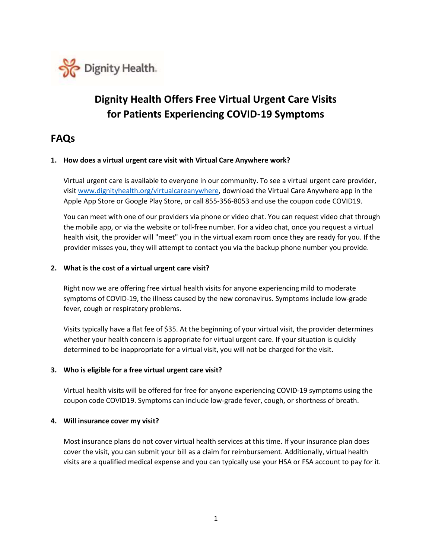

# **Dignity Health Offers Free Virtual Urgent Care Visits for Patients Experiencing COVID-19 Symptoms**

# **FAQs**

#### **1. How does a virtual urgent care visit with Virtual Care Anywhere work?**

Virtual urgent care is available to everyone in our community. To see a virtual urgent care provider, visi[t www.dignityhealth.org/virtualcareanywhere,](http://www.dignityhealth.org/virtualcareanywhere) download the Virtual Care Anywhere app in the Apple App Store or Google Play Store, or call 855-356-8053 and use the coupon code COVID19.

You can meet with one of our providers via phone or video chat. You can request video chat through the mobile app, or via the website or toll-free number. For a video chat, once you request a virtual health visit, the provider will "meet" you in the virtual exam room once they are ready for you. If the provider misses you, they will attempt to contact you via the backup phone number you provide.

#### **2. What is the cost of a virtual urgent care visit?**

Right now we are offering free virtual health visits for anyone experiencing mild to moderate symptoms of COVID-19, the illness caused by the new coronavirus. Symptoms include low-grade fever, cough or respiratory problems.

Visits typically have a flat fee of \$35. At the beginning of your virtual visit, the provider determines whether your health concern is appropriate for virtual urgent care. If your situation is quickly determined to be inappropriate for a virtual visit, you will not be charged for the visit.

#### **3. Who is eligible for a free virtual urgent care visit?**

Virtual health visits will be offered for free for anyone experiencing COVID-19 symptoms using the coupon code COVID19. Symptoms can include low-grade fever, cough, or shortness of breath.

#### **4. Will insurance cover my visit?**

Most insurance plans do not cover virtual health services at this time. If your insurance plan does cover the visit, you can submit your bill as a claim for reimbursement. Additionally, virtual health visits are a qualified medical expense and you can typically use your HSA or FSA account to pay for it.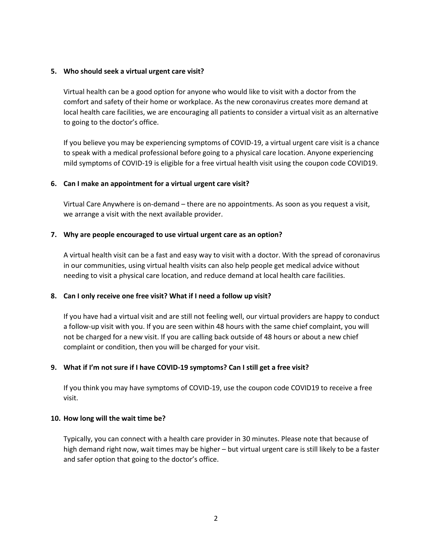#### **5. Who should seek a virtual urgent care visit?**

Virtual health can be a good option for anyone who would like to visit with a doctor from the comfort and safety of their home or workplace. As the new coronavirus creates more demand at local health care facilities, we are encouraging all patients to consider a virtual visit as an alternative to going to the doctor's office.

If you believe you may be experiencing symptoms of COVID-19, a virtual urgent care visit is a chance to speak with a medical professional before going to a physical care location. Anyone experiencing mild symptoms of COVID-19 is eligible for a free virtual health visit using the coupon code COVID19.

#### **6. Can I make an appointment for a virtual urgent care visit?**

Virtual Care Anywhere is on-demand – there are no appointments. As soon as you request a visit, we arrange a visit with the next available provider.

## **7. Why are people encouraged to use virtual urgent care as an option?**

A virtual health visit can be a fast and easy way to visit with a doctor. With the spread of coronavirus in our communities, using virtual health visits can also help people get medical advice without needing to visit a physical care location, and reduce demand at local health care facilities.

#### **8. Can I only receive one free visit? What if I need a follow up visit?**

If you have had a virtual visit and are still not feeling well, our virtual providers are happy to conduct a follow-up visit with you. If you are seen within 48 hours with the same chief complaint, you will not be charged for a new visit. If you are calling back outside of 48 hours or about a new chief complaint or condition, then you will be charged for your visit.

#### **9. What if I'm not sure if I have COVID-19 symptoms? Can I still get a free visit?**

If you think you may have symptoms of COVID-19, use the coupon code COVID19 to receive a free visit.

#### **10. How long will the wait time be?**

Typically, you can connect with a health care provider in 30 minutes. Please note that because of high demand right now, wait times may be higher – but virtual urgent care is still likely to be a faster and safer option that going to the doctor's office.